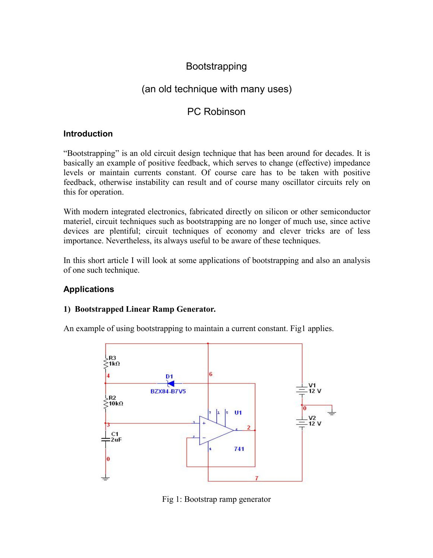# Bootstrapping

# (an old technique with many uses)

## PC Robinson

### **Introduction**

"Bootstrapping" is an old circuit design technique that has been around for decades. It is basically an example of positive feedback, which serves to change (effective) impedance levels or maintain currents constant. Of course care has to be taken with positive feedback, otherwise instability can result and of course many oscillator circuits rely on this for operation.

With modern integrated electronics, fabricated directly on silicon or other semiconductor materiel, circuit techniques such as bootstrapping are no longer of much use, since active devices are plentiful; circuit techniques of economy and clever tricks are of less importance. Nevertheless, its always useful to be aware of these techniques.

In this short article I will look at some applications of bootstrapping and also an analysis of one such technique.

## **Applications**

### **1) Bootstrapped Linear Ramp Generator.**

An example of using bootstrapping to maintain a current constant. Fig1 applies.



Fig 1: Bootstrap ramp generator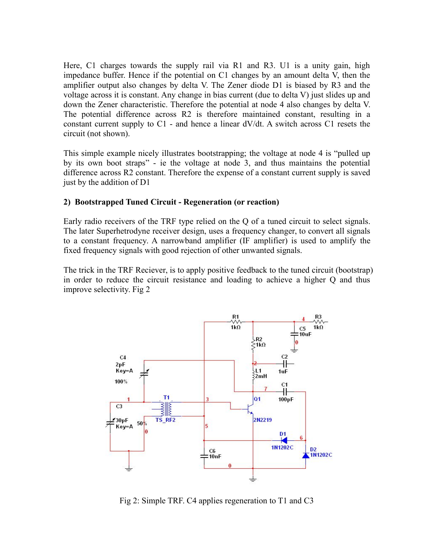Here, C1 charges towards the supply rail via R1 and R3. U1 is a unity gain, high impedance buffer. Hence if the potential on C1 changes by an amount delta V, then the amplifier output also changes by delta V. The Zener diode D1 is biased by R3 and the voltage across it is constant. Any change in bias current (due to delta V) just slides up and down the Zener characteristic. Therefore the potential at node 4 also changes by delta V. The potential difference across R2 is therefore maintained constant, resulting in a constant current supply to C1 - and hence a linear  $dV/dt$ . A switch across C1 resets the circuit (not shown).

This simple example nicely illustrates bootstrapping; the voltage at node 4 is "pulled up by its own boot straps" - ie the voltage at node 3, and thus maintains the potential difference across R2 constant. Therefore the expense of a constant current supply is saved just by the addition of D1

#### **2) Bootstrapped Tuned Circuit - Regeneration (or reaction)**

Early radio receivers of the TRF type relied on the Q of a tuned circuit to select signals. The later Superhetrodyne receiver design, uses a frequency changer, to convert all signals to a constant frequency. A narrowband amplifier (IF amplifier) is used to amplify the fixed frequency signals with good rejection of other unwanted signals.

The trick in the TRF Reciever, is to apply positive feedback to the tuned circuit (bootstrap) in order to reduce the circuit resistance and loading to achieve a higher Q and thus improve selectivity. Fig 2



Fig 2: Simple TRF. C4 applies regeneration to T1 and C3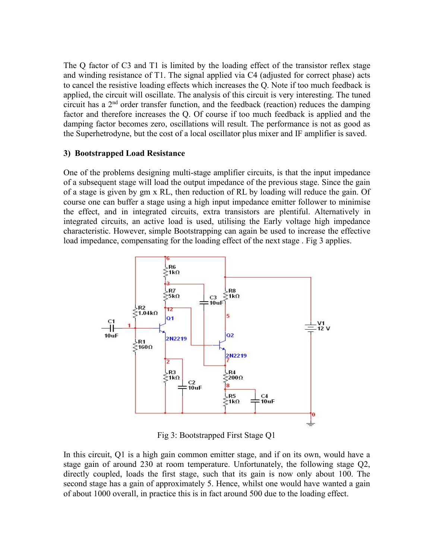The Q factor of C3 and T1 is limited by the loading effect of the transistor reflex stage and winding resistance of T1. The signal applied via C4 (adjusted for correct phase) acts to cancel the resistive loading effects which increases the Q. Note if too much feedback is applied, the circuit will oscillate. The analysis of this circuit is very interesting. The tuned circuit has a 2 nd order transfer function, and the feedback (reaction) reduces the damping factor and therefore increases the Q. Of course if too much feedback is applied and the damping factor becomes zero, oscillations will result. The performance is not as good as the Superhetrodyne, but the cost of a local oscillator plus mixer and IF amplifier is saved.

#### **3) Bootstrapped Load Resistance**

One of the problems designing multi-stage amplifier circuits, is that the input impedance of a subsequent stage will load the output impedance of the previous stage. Since the gain of a stage is given by gm x RL, then reduction of RL by loading will reduce the gain. Of course one can buffer a stage using a high input impedance emitter follower to minimise the effect, and in integrated circuits, extra transistors are plentiful. Alternatively in integrated circuits, an active load is used, utilising the Early voltage high impedance characteristic. However, simple Bootstrapping can again be used to increase the effective load impedance, compensating for the loading effect of the next stage. Fig 3 applies.



Fig 3: Bootstrapped First Stage Q1

In this circuit,  $Q1$  is a high gain common emitter stage, and if on its own, would have a stage gain of around 230 at room temperature. Unfortunately, the following stage Q2, directly coupled, loads the first stage, such that its gain is now only about 100. The second stage has a gain of approximately 5. Hence, whilst one would have wanted a gain of about 1000 overall, in practice this is in fact around 500 due to the loading effect.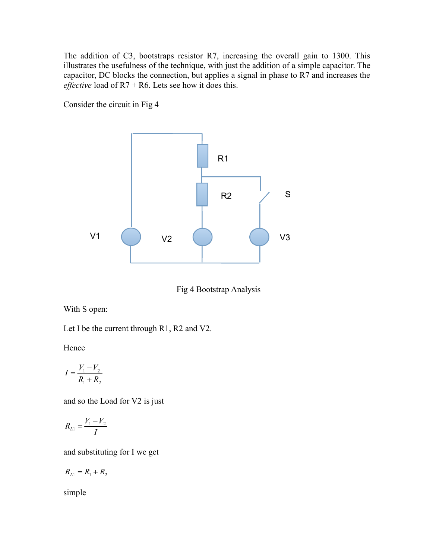The addition of C3, bootstraps resistor R7, increasing the overall gain to 1300. This illustrates the usefulness of the technique, with just the addition of a simple capacitor. The capacitor, DC blocks the connection, but applies a signal in phase to R7 and increases the *effective* load of R7 + R6. Lets see how it does this.

Consider the circuit in Fig 4



Fig 4 Bootstrap Analysis

With S open:

Let I be the current through R1, R2 and V2.

Hence

$$
I = \frac{V_1 - V_2}{R_1 + R_2}
$$

and so the Load for V2 is just

$$
R_{L1} = \frac{V_1 - V_2}{I}
$$

and substituting for I we get

$$
R_{L1} = R_1 + R_2
$$

simple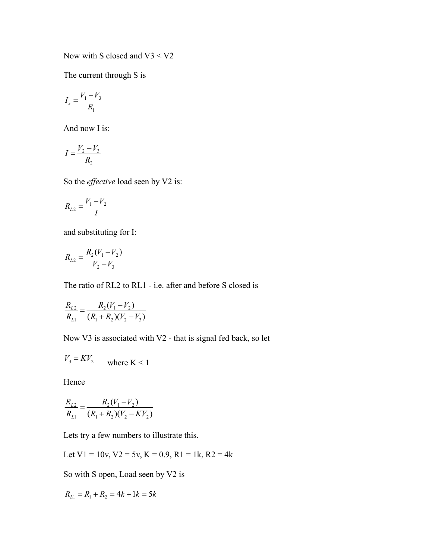Now with S closed and  $V3 < V2$ 

The current through S is

$$
I_s = \frac{V_1 - V_3}{R_1}
$$

And now I is:

$$
I = \frac{V_2 - V_3}{R_2}
$$

So the *effective* load seen by V2 is:

$$
R_{L2} = \frac{V_1 - V_2}{I}
$$

and substituting for I:

$$
R_{L2} = \frac{R_2(V_1 - V_2)}{V_2 - V_3}
$$

The ratio of RL2 to RL1 - i.e. after and before S closed is

$$
\frac{R_{L2}}{R_{L1}} = \frac{R_2(V_1 - V_2)}{(R_1 + R_2)(V_2 - V_3)}
$$

Now V3 is associated with V2 - that is signal fed back, so let

$$
V_3 = KV_2 \qquad \text{where } K < 1
$$

Hence

$$
\frac{R_{L2}}{R_{L1}} = \frac{R_2(V_1 - V_2)}{(R_1 + R_2)(V_2 - KV_2)}
$$

Lets try a few numbers to illustrate this.

Let  $V1 = 10v$ ,  $V2 = 5v$ ,  $K = 0.9$ ,  $R1 = 1k$ ,  $R2 = 4k$ 

So with S open, Load seen by V2 is

$$
R_{L1} = R_1 + R_2 = 4k + 1k = 5k
$$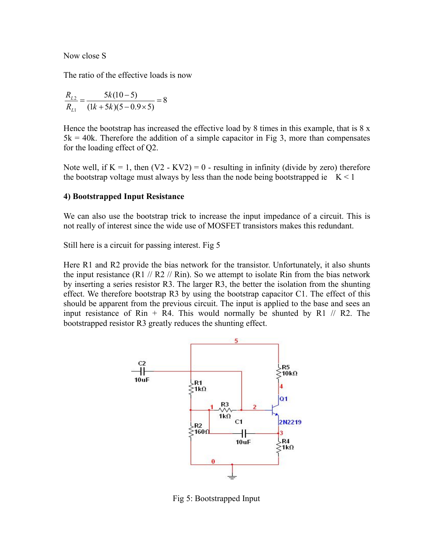Now close S

The ratio of the effective loads is now

$$
\frac{R_{L2}}{R_{L1}} = \frac{5k(10-5)}{(1k+5k)(5-0.9\times5)} = 8
$$

Hence the bootstrap has increased the effective load by 8 times in this example, that is  $8 \times$  $5k = 40k$ . Therefore the addition of a simple capacitor in Fig 3, more than compensates for the loading effect of Q2.

Note well, if  $K = 1$ , then  $(V2 - KV2) = 0$  - resulting in infinity (divide by zero) therefore the bootstrap voltage must always by less than the node being bootstrapped ie  $K < 1$ 

#### **4) Bootstrapped Input Resistance**

We can also use the bootstrap trick to increase the input impedance of a circuit. This is not really of interest since the wide use of MOSFET transistors makes this redundant.

Still here is a circuit for passing interest. Fig 5

Here R1 and R2 provide the bias network for the transistor. Unfortunately, it also shunts the input resistance (R1  $\pi$  // R2  $\pi$  // Rin). So we attempt to isolate Rin from the bias network by inserting a series resistor R3. The larger R3, the better the isolation from the shunting effect. We therefore bootstrap R3 by using the bootstrap capacitor C1. The effect of this should be apparent from the previous circuit. The input is applied to the base and sees an input resistance of Rin + R4. This would normally be shunted by R1  $//$  R2. The bootstrapped resistor R3 greatly reduces the shunting effect.



Fig 5: Bootstrapped Input